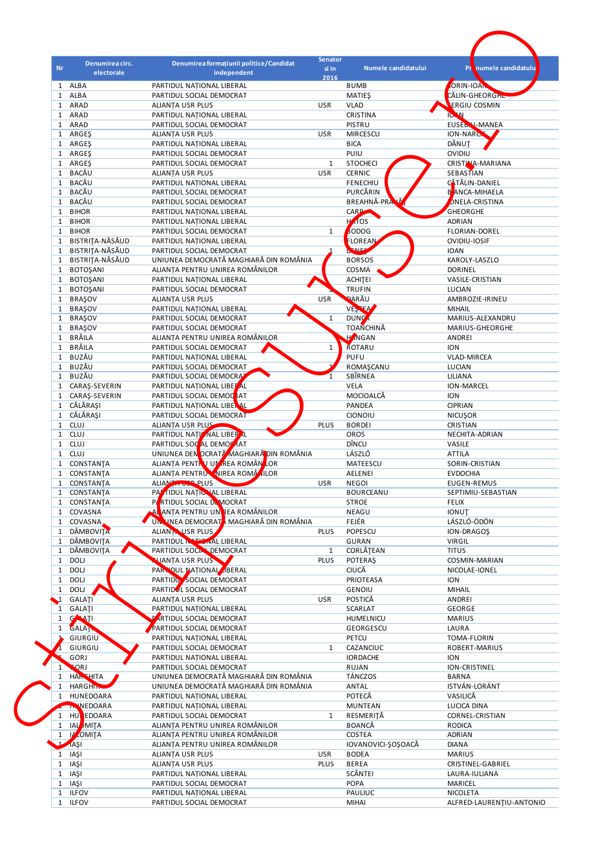| Nr.                          |                               |                                                                             | <b>Senator</b> |                                 |                                   |
|------------------------------|-------------------------------|-----------------------------------------------------------------------------|----------------|---------------------------------|-----------------------------------|
|                              | Denumirea circ.<br>electorale | Denumirea formațiunii politice/Candidat<br>independent                      | si in          | Numele candidatului             | Pr numele candidatulu             |
| $\mathbf{1}$                 | ALBA                          | PARTIDUL NATIONAL LIBERAL                                                   | 2016           | <b>BUMB</b>                     | ORIN-IOAN                         |
| $\mathbf{1}$                 | ALBA                          | PARTIDUL SOCIAL DEMOCRAT                                                    |                | <b>MATIES</b>                   | CĂLIN-GHEORGHL                    |
| $\mathbf{1}$                 | ARAD                          | <b>ALIANTA USR PLUS</b>                                                     | <b>USR</b>     | <b>VLAD</b>                     | <b>ERGIU COSMIN</b>               |
| $\mathbf{1}$                 | ARAD                          | PARTIDUL NATIONAL LIBERAL                                                   |                | CRISTINA                        | <b>IC. N</b>                      |
| $\mathbf{1}$                 | ARAD                          | PARTIDUL SOCIAL DEMOCRAT                                                    |                | PISTRU                          | EUSEB V-MANEA                     |
| $\mathbf{1}$                 | ARGES                         | <b>ALIANTA USR PLUS</b>                                                     | <b>USR</b>     | <b>MIRCESCU</b>                 | ION-NARCH                         |
|                              | 1 ARGEŞ                       | PARTIDUL NATIONAL LIBERAL                                                   |                | <b>BICA</b>                     | DĂNUT                             |
| $\mathbf{1}$                 | ARGES                         | PARTIDUL SOCIAL DEMOCRAT                                                    |                | PUIU                            | OVIDIU                            |
| $\mathbf{1}$                 | ARGES                         | PARTIDUL SOCIAL DEMOCRAT                                                    | $\mathbf{1}$   | <b>STOCHECI</b>                 | CRISTINA-MARIANA                  |
| $\mathbf{1}$                 | <b>BACĂU</b>                  | <b>ALIANTA USR PLUS</b>                                                     | <b>USR</b>     | <b>CERNIC</b>                   | SEBASTIAN                         |
| $\mathbf{1}$                 | <b>BACĂU</b>                  | PARTIDUL NATIONAL LIBERAL                                                   |                | <b>FENECHIU</b>                 | CĂTĂLIN-DANIEL                    |
| $\mathbf{1}$                 | BACĂU<br>BACĂU                | PARTIDUL SOCIAL DEMOCRAT                                                    |                | PURCĂRIN<br>$\mathbf{v}$        | B ANCA-MIHAELA                    |
| $\mathbf{1}$<br>$\mathbf{1}$ | <b>BIHOR</b>                  | PARTIDUL SOCIAL DEMOCRAT<br>PARTIDUL NATIONAL LIBERAL                       |                | <b>BREAHNĂ-PRA</b><br>CARP      | ONELA-CRISTINA<br><b>GHEORGHE</b> |
| $\mathbf{1}$                 | <b>BIHOR</b>                  | PARTIDUL NATIONAL LIBERAL                                                   |                | H <sub>AT</sub> OS              | <b>ADRIAN</b>                     |
| $\mathbf{1}$                 | <b>BIHOR</b>                  | PARTIDUL SOCIAL DEMOCRAT                                                    | $\mathbf{1}$   | ODOG                            | FLORIAN-DOREL                     |
| $\mathbf{1}$                 | BISTRITA-NĂSĂUD               | PARTIDUL NATIONAL LIBERAL                                                   |                | <b>FLOREAN</b>                  | OVIDIU-IOSIF                      |
| $\mathbf{1}$                 | BISTRITA-NĂSĂUD               | PARTIDUL SOCIAL DEMOCRAT                                                    |                | ENER                            | <b>IOAN</b>                       |
| $\mathbf{1}$                 | <b>BISTRITA-NĂSĂUD</b>        | UNIUNEA DEMOCRATĂ MAGHIARĂ DIN ROMÂNIA                                      |                | <b>BORSOS</b>                   | KAROLY-LASZLO                     |
| 1                            | <b>BOTOŞANI</b>               | ALIANȚA PENTRU UNIREA ROMÂNILOR                                             |                | COSMA                           | <b>DORINEL</b>                    |
| 1                            | <b>BOTOŞANI</b>               | PARTIDUL NATIONAL LIBERAL                                                   |                | <b>ACHITEI</b>                  | <b>VASILE-CRISTIAN</b>            |
| $\mathbf{1}$                 | <b>BOTOŞANI</b>               | PARTIDUL SOCIAL DEMOCRAT                                                    |                | <b>TRUFIN</b>                   | LUCIAN                            |
| $\mathbf{1}$                 | <b>BRAŞOV</b>                 | <b>ALIANTA USR PLUS</b>                                                     | <b>USR</b>     | <b>DARĂU</b>                    | AMBROZIE-IRINEU                   |
| $\mathbf{1}$                 | <b>BRAŞOV</b>                 | PARTIDUL NATIONAL LIBERAL                                                   |                | VESTEA                          | <b>MIHAIL</b>                     |
| 1                            | <b>BRAŞOV</b>                 | PARTIDUL SOCIAL DEMOCRAT                                                    | $\mathbf{1}$   | <b>DUNC</b>                     | MARIUS-ALEXANDRU                  |
| $\mathbf{1}$                 | <b>BRAŞOV</b>                 | PARTIDUL SOCIAL DEMOCRAT                                                    |                | <b>TOANCHINĂ</b>                | MARIUS-GHEORGHE                   |
| 1                            | BRĂILA                        | ALIANȚA PENTRU UNIREA ROMÂNILOR                                             |                | <b>HANGAN</b>                   | ANDREI                            |
| $\mathbf{1}$                 | BRĂILA<br><b>BUZĂU</b>        | PARTIDUL SOCIAL DEMOCRAT                                                    | $\mathbf{1}$   | ROTARU                          | <b>ION</b>                        |
| $\mathbf{1}$<br>$\mathbf{1}$ | <b>BUZĂU</b>                  | PARTIDUL NATIONAL LIBERAL                                                   |                | <b>PUFU</b><br>ROMAŞCANU        | VLAD-MIRCEA<br>LUCIAN             |
| $\mathbf{1}$                 | BUZĂU                         | PARTIDUL SOCIAL DEMOCRAT<br>PARTIDUL SOCIAL DEMOCRAT                        | 1              | SBÎRNEA                         | LILIANA                           |
| $\mathbf{1}$                 | CARAŞ-SEVERIN                 | PARTIDUL NATIONAL LIBER AL                                                  |                | VELA                            | ION-MARCEL                        |
| 1                            | CARAŞ-SEVERIN                 | PARTIDUL SOCIAL DEMOCRAT                                                    |                | MOCIOALCĂ                       | <b>ION</b>                        |
|                              | 1 CĂLĂRAȘI                    | PARTIDUL NATIONAL LIBERAL                                                   |                | PANDEA                          | <b>CIPRIAN</b>                    |
| 1                            | CĂLĂRAȘI                      | PARTIDUL SOCIAL DEMOCRAT                                                    |                | CIONOIU                         | <b>NICUŞOR</b>                    |
| $\mathbf{1}$                 | CLUJ                          | ALIANTA USR PLUS                                                            | <b>PLUS</b>    | <b>BORDEI</b>                   | CRISTIAN                          |
| $\mathbf{1}$                 | CLUJ                          | PARTIDUL NAȚI NAL LIBER L                                                   |                | OROS                            | NECHITA-ADRIAN                    |
| $\mathbf{1}$                 | <b>CLUJ</b>                   | PARTIDUL SOC AL DEMOCRAT                                                    |                | DÎNCU                           | VASILE                            |
| $\mathbf{1}$                 | <b>CLUJ</b>                   | UNIUNEA DEN OCRATĂ MAGHIARĂ DIN ROMÂNIA                                     |                | LÁSZLÓ                          | <b>ATTILA</b>                     |
| $\mathbf{1}$                 | CONSTANTA                     | ALIANȚA PENTRU UM REA ROMÂN LOR                                             |                | MATEESCU                        | SORIN-CRISTIAN                    |
| $\mathbf{1}$                 | CONSTANTA                     | ALIANTA PENTRUM NIREA ROMÂNILOR                                             |                | <b>AELENEI</b>                  | <b>EVDOCHIA</b>                   |
|                              | 1 CONSTANTA                   | ALIAN THUS PLUS                                                             | USR            | <b>NEGOI</b>                    | EUGEN-REMUS                       |
| $\mathbf{1}$                 | CONSTANTA                     | PAT FIDUL NATIONAL LIBERAL                                                  |                | <b>BOURCEANU</b>                | SEPTIMIU-SEBASTIAN                |
| $\mathbf{1}$                 | CONSTANTA                     | PARTIDUL SOCIAL DEMOCRAT                                                    |                | <b>STROE</b>                    | <b>FELIX</b>                      |
| $\mathbf{1}$<br>$\mathbf{1}$ | COVASNA<br>COVASNA            | AL ANTA PENTRU UNI REA ROMÂNILOR<br>UN. UNEA DEMOCRATA MAGHIARĂ DIN ROMÂNIA |                | NEAGU<br>FEJÉR                  | IONUT<br>LÁSZLÓ-ÖDÖN              |
| 1                            | <b>DÂMBOVITA</b>              | ALIAN NUSR PLUS                                                             | <b>PLUS</b>    | POPESCU                         | ION-DRAGOS                        |
| $\mathbf{1}$                 | DÂMBOVIȚA                     | PARTIDUL MATIONAL LIBERAL                                                   |                | GURAN                           | VIRGIL                            |
| $\mathbf{1}$                 | DÂMBOVIȚA                     | PARTIDUL SOCIAL DEMOCRAT                                                    | $\mathbf{1}$   | CORLĂȚEAN                       | <b>TITUS</b>                      |
| $\mathbf{1}$                 | DOLJ                          | <b>NJANTA USR PLUS</b>                                                      | <b>PLUS</b>    | <b>POTERAŞ</b>                  | COSMIN-MARIAN                     |
| $\mathbf{1}$                 | DOLJ                          | PARTIONAL BERAL                                                             |                | <b>CIUCĂ</b>                    | NICOLAE-IONEL                     |
| $\mathbf{1}$                 | DOLJ                          | PARTIDU SOCIAL DEMOCRAT                                                     |                | PRIOTEASA                       | <b>ION</b>                        |
| $\mathbf{1}$                 | DOLJ                          | PARTIDUL SOCIAL DEMOCRAT                                                    |                | GENOIU                          | <b>MIHAIL</b>                     |
| $\Delta$                     | GALATI                        | ALIANTA USR PLUS                                                            | <b>USR</b>     | POSTICĂ                         | ANDREI                            |
| $\mathbf{1}$                 | <b>GALATI</b>                 | PARTIDUL NATIONAL LIBERAL                                                   |                | <b>SCARLAT</b>                  | GEORGE                            |
| $\mathbf{1}$                 | GAATI                         | PARTIDUL SOCIAL DEMOCRAT                                                    |                | HUMELNICU                       | <b>MARIUS</b>                     |
| $\mathbf{1}$                 | GALAT                         | PARTIDUL SOCIAL DEMOCRAT                                                    |                | GEORGESCU                       | LAURA                             |
|                              | GIURGIU                       | PARTIDUL NATIONAL LIBERAL                                                   |                | PETCU                           | TOMA-FLORIN                       |
|                              | GIURGIU                       | PARTIDUL SOCIAL DEMOCRAT                                                    | $\mathbf{1}$   | CAZANCIUC                       | ROBERT-MARIUS                     |
|                              | GORJ                          | PARTIDUL NATIONAL LIBERAL                                                   |                | <b>IORDACHE</b><br><b>RUJAN</b> | <b>ION</b><br>ION-CRISTINEL       |
|                              |                               |                                                                             |                |                                 |                                   |
| 1                            | <b>SORJ</b>                   | PARTIDUL SOCIAL DEMOCRAT                                                    |                |                                 |                                   |
| $\mathbf{1}$                 | <b>HAR HITA</b>               | UNIUNEA DEMOCRATĂ MAGHIARĂ DIN ROMÂNIA                                      |                | TÁNCZOS                         | <b>BARNA</b>                      |
| $\mathbf{1}$                 | <b>HARGHIM</b>                | UNIUNEA DEMOCRATĂ MAGHIARĂ DIN ROMÂNIA                                      |                | ANTAL                           | ISTVÁN-LORÁNT<br>VASILICĂ         |
| $\mathbf{1}$                 | HUNEDOARA<br><b>TNNEDOARA</b> | PARTIDUL NATIONAL LIBERAL<br>PARTIDUL NATIONAL LIBERAL                      |                | POTECĂ<br><b>MUNTEAN</b>        | LUCICA DINA                       |
| $\mathbf{1}$                 | <b>HU</b> EDOARA              | PARTIDUL SOCIAL DEMOCRAT                                                    | $\mathbf{1}$   | RESMERITĂ                       | CORNEL-CRISTIAN                   |
| $\mathbf{1}$                 | <b>IAL</b> MITA               | ALIANȚA PENTRU UNIREA ROMÂNILOR                                             |                | <b>BOANCĂ</b>                   | <b>RODICA</b>                     |
| $\mathbf{1}$                 | IL OMITA                      | ALIANȚA PENTRU UNIREA ROMÂNILOR                                             |                | COSTEA                          | ADRIAN                            |
| $\overline{1}$               | <b>IAŞI</b>                   | ALIANȚA PENTRU UNIREA ROMÂNILOR                                             |                | IOVANOVICI-ŞOŞOACĂ              | <b>DIANA</b>                      |
| $\mathbf{1}$                 | IAŞI                          | ALIANTA USR PLUS                                                            | <b>USR</b>     | <b>BODEA</b>                    | <b>MARIUS</b>                     |
| $\mathbf{1}$                 | IAŞI                          | ALIANTA USR PLUS                                                            | <b>PLUS</b>    | <b>BEREA</b>                    | CRISTINEL-GABRIEL                 |
| $\mathbf{1}$                 | IAŞI                          | PARTIDUL NATIONAL LIBERAL                                                   |                | SCÂNTEI                         | LAURA-IULIANA                     |
| $\mathbf{1}$<br>$\mathbf{1}$ | IAŞI<br><b>ILFOV</b>          | PARTIDUL SOCIAL DEMOCRAT<br>PARTIDUL NATIONAL LIBERAL                       |                | <b>POPA</b><br>PAULIUC          | MARICEL<br>NICOLETA               |